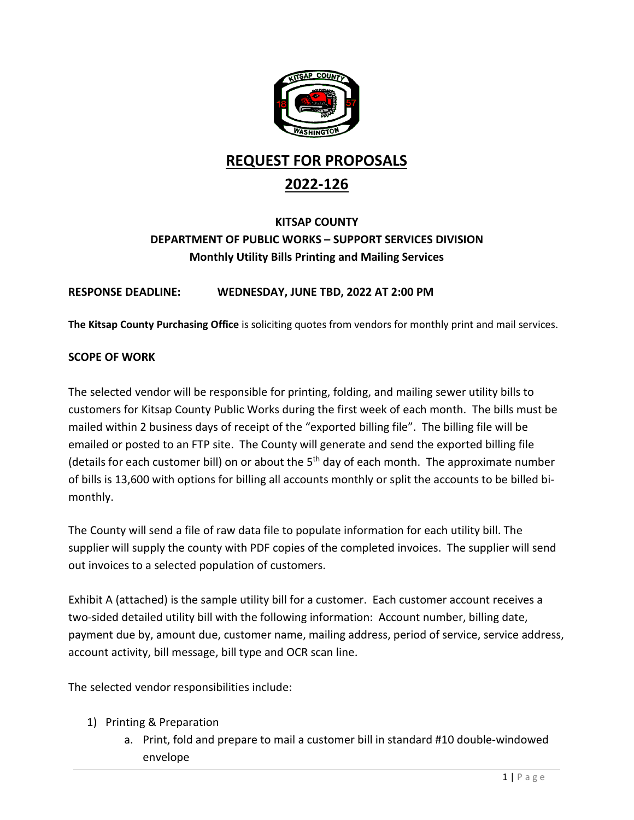

# **REQUEST FOR PROPOSALS 2022-126**

# **KITSAP COUNTY DEPARTMENT OF PUBLIC WORKS – SUPPORT SERVICES DIVISION Monthly Utility Bills Printing and Mailing Services**

# **RESPONSE DEADLINE: WEDNESDAY, JUNE TBD, 2022 AT 2:00 PM**

**The Kitsap County Purchasing Office** is soliciting quotes from vendors for monthly print and mail services.

# **SCOPE OF WORK**

The selected vendor will be responsible for printing, folding, and mailing sewer utility bills to customers for Kitsap County Public Works during the first week of each month. The bills must be mailed within 2 business days of receipt of the "exported billing file". The billing file will be emailed or posted to an FTP site. The County will generate and send the exported billing file (details for each customer bill) on or about the  $5<sup>th</sup>$  day of each month. The approximate number of bills is 13,600 with options for billing all accounts monthly or split the accounts to be billed bimonthly.

The County will send a file of raw data file to populate information for each utility bill. The supplier will supply the county with PDF copies of the completed invoices. The supplier will send out invoices to a selected population of customers.

Exhibit A (attached) is the sample utility bill for a customer. Each customer account receives a two-sided detailed utility bill with the following information: Account number, billing date, payment due by, amount due, customer name, mailing address, period of service, service address, account activity, bill message, bill type and OCR scan line.

The selected vendor responsibilities include:

- 1) Printing & Preparation
	- a. Print, fold and prepare to mail a customer bill in standard #10 double-windowed envelope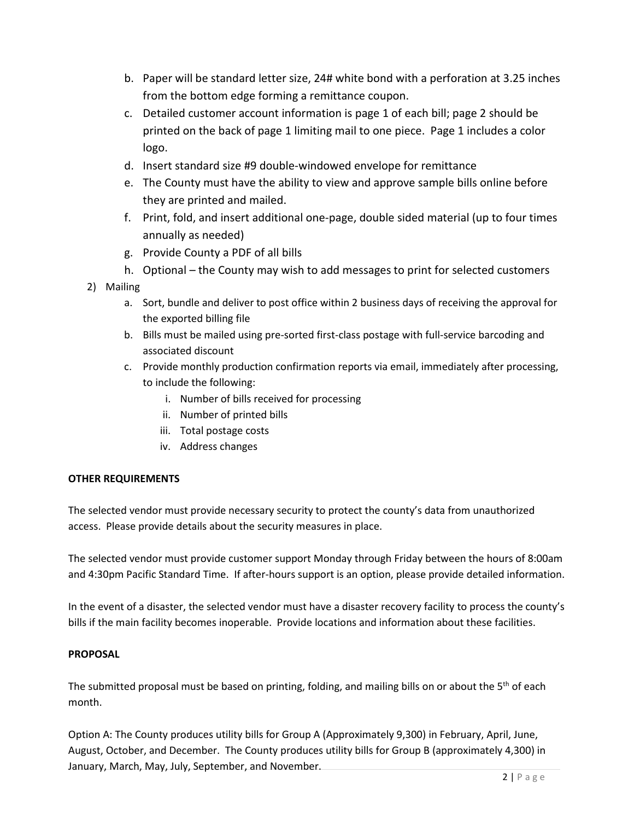- b. Paper will be standard letter size, 24# white bond with a perforation at 3.25 inches from the bottom edge forming a remittance coupon.
- c. Detailed customer account information is page 1 of each bill; page 2 should be printed on the back of page 1 limiting mail to one piece. Page 1 includes a color logo.
- d. Insert standard size #9 double-windowed envelope for remittance
- e. The County must have the ability to view and approve sample bills online before they are printed and mailed.
- f. Print, fold, and insert additional one-page, double sided material (up to four times annually as needed)
- g. Provide County a PDF of all bills
- h. Optional the County may wish to add messages to print for selected customers
- 2) Mailing
	- a. Sort, bundle and deliver to post office within 2 business days of receiving the approval for the exported billing file
	- b. Bills must be mailed using pre-sorted first-class postage with full-service barcoding and associated discount
	- c. Provide monthly production confirmation reports via email, immediately after processing, to include the following:
		- i. Number of bills received for processing
		- ii. Number of printed bills
		- iii. Total postage costs
		- iv. Address changes

#### **OTHER REQUIREMENTS**

The selected vendor must provide necessary security to protect the county's data from unauthorized access. Please provide details about the security measures in place.

The selected vendor must provide customer support Monday through Friday between the hours of 8:00am and 4:30pm Pacific Standard Time. If after-hours support is an option, please provide detailed information.

In the event of a disaster, the selected vendor must have a disaster recovery facility to process the county's bills if the main facility becomes inoperable. Provide locations and information about these facilities.

#### **PROPOSAL**

The submitted proposal must be based on printing, folding, and mailing bills on or about the  $5<sup>th</sup>$  of each month.

Option A: The County produces utility bills for Group A (Approximately 9,300) in February, April, June, August, October, and December. The County produces utility bills for Group B (approximately 4,300) in January, March, May, July, September, and November.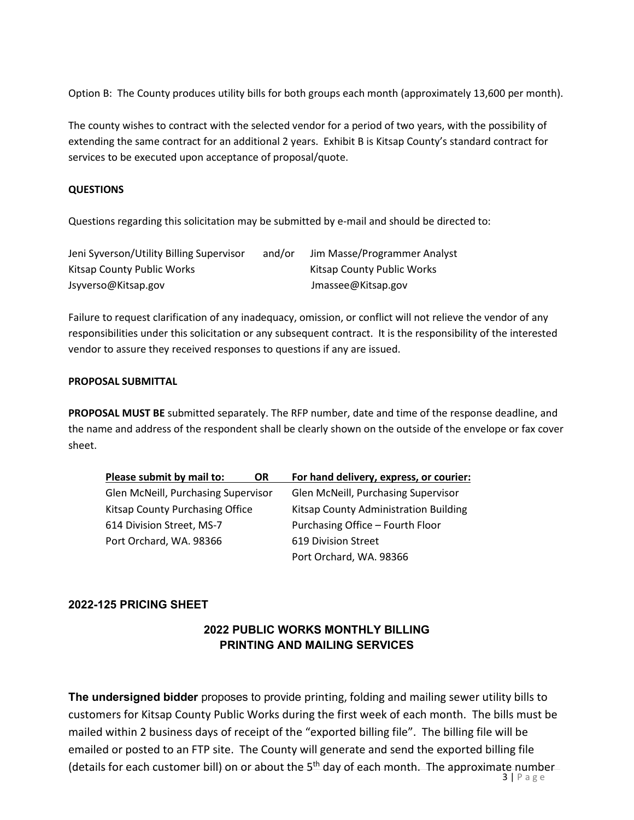Option B: The County produces utility bills for both groups each month (approximately 13,600 per month).

The county wishes to contract with the selected vendor for a period of two years, with the possibility of extending the same contract for an additional 2 years. Exhibit B is Kitsap County's standard contract for services to be executed upon acceptance of proposal/quote.

#### **QUESTIONS**

Questions regarding this solicitation may be submitted by e-mail and should be directed to:

| Jeni Syverson/Utility Billing Supervisor | and/or | Jim Masse/Programmer Analyst |
|------------------------------------------|--------|------------------------------|
| Kitsap County Public Works               |        | Kitsap County Public Works   |
| Jsyverso@Kitsap.gov                      |        | Jmassee@Kitsap.gov           |

Failure to request clarification of any inadequacy, omission, or conflict will not relieve the vendor of any responsibilities under this solicitation or any subsequent contract. It is the responsibility of the interested vendor to assure they received responses to questions if any are issued.

#### **PROPOSAL SUBMITTAL**

**PROPOSAL MUST BE** submitted separately. The RFP number, date and time of the response deadline, and the name and address of the respondent shall be clearly shown on the outside of the envelope or fax cover sheet.

| Please submit by mail to:<br><b>OR</b>     | For hand delivery, express, or courier: |  |
|--------------------------------------------|-----------------------------------------|--|
| <b>Glen McNeill, Purchasing Supervisor</b> | Glen McNeill, Purchasing Supervisor     |  |
| <b>Kitsap County Purchasing Office</b>     | Kitsap County Administration Building   |  |
| 614 Division Street, MS-7                  | Purchasing Office - Fourth Floor        |  |
| Port Orchard, WA. 98366                    | 619 Division Street                     |  |
|                                            | Port Orchard, WA. 98366                 |  |

# **2022-125 PRICING SHEET**

# **2022 PUBLIC WORKS MONTHLY BILLING PRINTING AND MAILING SERVICES**

**The undersigned bidder** proposes to provide printing, folding and mailing sewer utility bills to customers for Kitsap County Public Works during the first week of each month. The bills must be mailed within 2 business days of receipt of the "exported billing file". The billing file will be emailed or posted to an FTP site. The County will generate and send the exported billing file (details for each customer bill) on or about the  $5<sup>th</sup>$  day of each month. The approximate number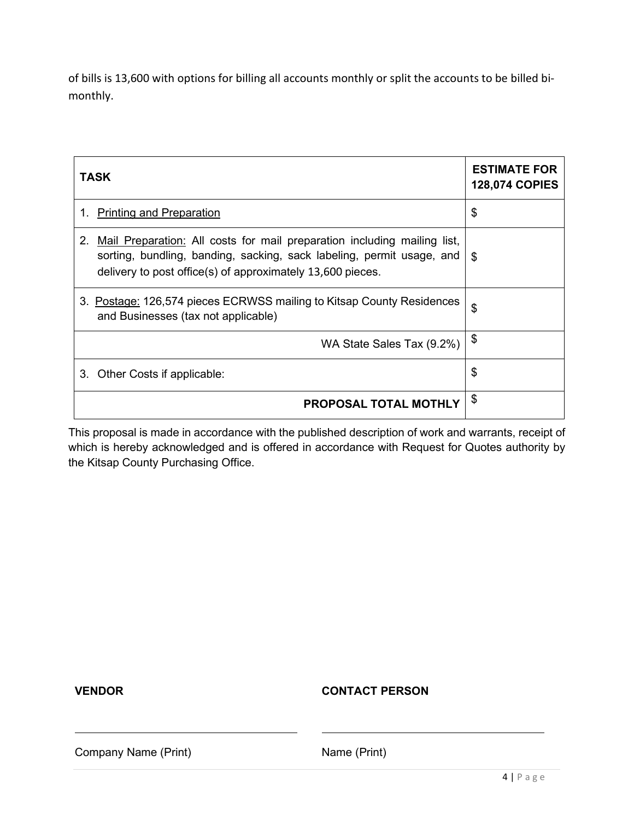of bills is 13,600 with options for billing all accounts monthly or split the accounts to be billed bimonthly.

| TASK                                                                                                                                                                                                                  | <b>ESTIMATE FOR</b><br><b>128,074 COPIES</b> |
|-----------------------------------------------------------------------------------------------------------------------------------------------------------------------------------------------------------------------|----------------------------------------------|
| <b>Printing and Preparation</b><br>1.                                                                                                                                                                                 | \$                                           |
| Mail Preparation: All costs for mail preparation including mailing list,<br>2.<br>sorting, bundling, banding, sacking, sack labeling, permit usage, and<br>delivery to post office(s) of approximately 13,600 pieces. | <b>S</b>                                     |
| 3. Postage: 126,574 pieces ECRWSS mailing to Kitsap County Residences<br>and Businesses (tax not applicable)                                                                                                          | \$                                           |
| WA State Sales Tax (9.2%)                                                                                                                                                                                             | \$                                           |
| 3. Other Costs if applicable:                                                                                                                                                                                         | \$                                           |
| PROPOSAL TOTAL MOTHLY                                                                                                                                                                                                 | \$                                           |

This proposal is made in accordance with the published description of work and warrants, receipt of which is hereby acknowledged and is offered in accordance with Request for Quotes authority by the Kitsap County Purchasing Office.

**VENDOR CONTACT PERSON**

Company Name (Print) Name (Print)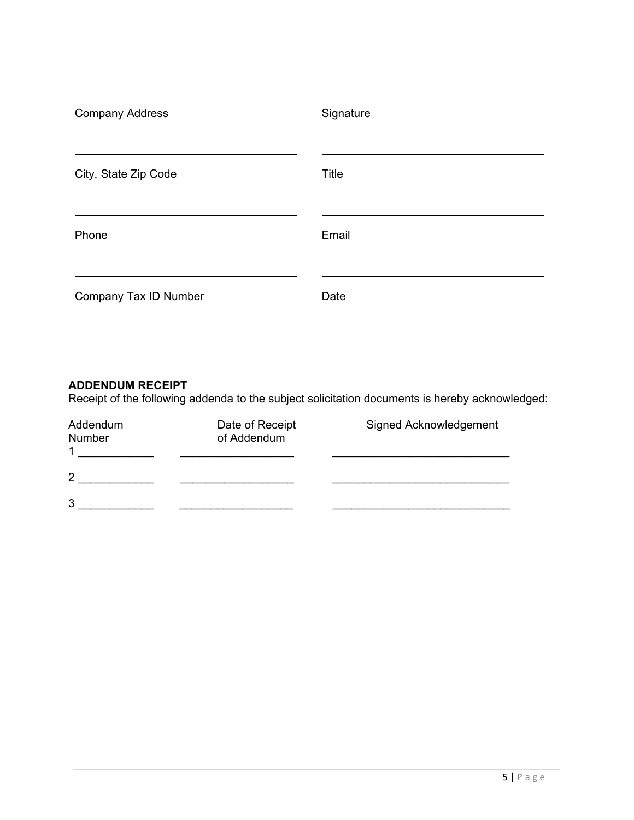| <b>Company Address</b> | Signature    |
|------------------------|--------------|
| City, State Zip Code   | <b>Title</b> |
| Phone                  | Email        |
| Company Tax ID Number  | Date         |

# **ADDENDUM RECEIPT**

Receipt of the following addenda to the subject solicitation documents is hereby acknowledged:

| Addendum<br><b>Number</b><br>1 | Date of Receipt<br>of Addendum | Signed Acknowledgement |
|--------------------------------|--------------------------------|------------------------|
| $\overline{2}$                 |                                |                        |
| 3                              |                                |                        |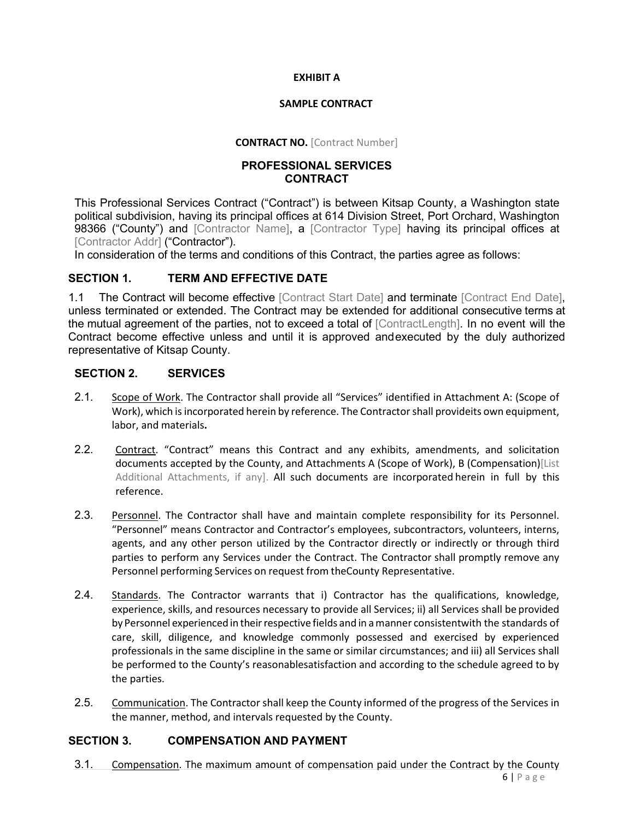#### **EXHIBIT A**

#### **SAMPLE CONTRACT**

#### **CONTRACT NO.** [Contract Number]

#### **PROFESSIONAL SERVICES CONTRACT**

This Professional Services Contract ("Contract") is between Kitsap County, a Washington state political subdivision, having its principal offices at 614 Division Street, Port Orchard, Washington 98366 ("County") and [Contractor Name], a [Contractor Type] having its principal offices at [Contractor Addr] ("Contractor").

In consideration of the terms and conditions of this Contract, the parties agree as follows:

# **SECTION 1. TERM AND EFFECTIVE DATE**

1.1 The Contract will become effective [Contract Start Date] and terminate [Contract End Date]. unless terminated or extended. The Contract may be extended for additional consecutive terms at the mutual agreement of the parties, not to exceed a total of [ContractLength]. In no event will the Contract become effective unless and until it is approved andexecuted by the duly authorized representative of Kitsap County.

# **SECTION 2. SERVICES**

- 2.1. Scope of Work. The Contractor shall provide all "Services" identified in Attachment A: (Scope of Work), which is incorporated herein by reference. The Contractor shall provideits own equipment, labor, and materials**.**
- 2.2. Contract. "Contract" means this Contract and any exhibits, amendments, and solicitation documents accepted by the County, and Attachments A (Scope of Work), B (Compensation)[List Additional Attachments, if any]. All such documents are incorporated herein in full by this reference.
- 2.3. Personnel. The Contractor shall have and maintain complete responsibility for its Personnel. "Personnel" means Contractor and Contractor's employees, subcontractors, volunteers, interns, agents, and any other person utilized by the Contractor directly or indirectly or through third parties to perform any Services under the Contract. The Contractor shall promptly remove any Personnel performing Services on request from theCounty Representative.
- 2.4. Standards. The Contractor warrants that i) Contractor has the qualifications, knowledge, experience, skills, and resources necessary to provide all Services; ii) all Services shall be provided by Personnel experienced in their respective fields and in a manner consistentwith the standards of care, skill, diligence, and knowledge commonly possessed and exercised by experienced professionals in the same discipline in the same or similar circumstances; and iii) all Services shall be performed to the County's reasonablesatisfaction and according to the schedule agreed to by the parties.
- 2.5. Communication. The Contractor shall keep the County informed of the progress of the Services in the manner, method, and intervals requested by the County.

#### **SECTION 3. COMPENSATION AND PAYMENT**

3.1. Compensation. The maximum amount of compensation paid under the Contract by the County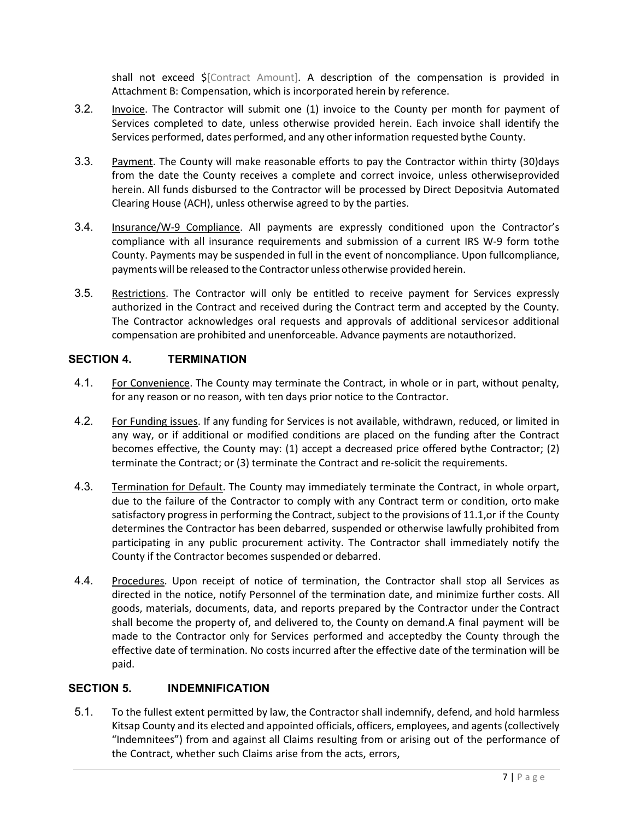shall not exceed \$[Contract Amount]. A description of the compensation is provided in Attachment B: Compensation, which is incorporated herein by reference.

- 3.2. Invoice. The Contractor will submit one (1) invoice to the County per month for payment of Services completed to date, unless otherwise provided herein. Each invoice shall identify the Services performed, dates performed, and any other information requested bythe County.
- 3.3. Payment. The County will make reasonable efforts to pay the Contractor within thirty (30)days from the date the County receives a complete and correct invoice, unless otherwiseprovided herein. All funds disbursed to the Contractor will be processed by Direct Depositvia Automated Clearing House (ACH), unless otherwise agreed to by the parties.
- 3.4. Insurance/W-9 Compliance. All payments are expressly conditioned upon the Contractor's compliance with all insurance requirements and submission of a current IRS W-9 form tothe County. Payments may be suspended in full in the event of noncompliance. Upon fullcompliance, paymentswill be released to the Contractor unless otherwise provided herein.
- 3.5. Restrictions. The Contractor will only be entitled to receive payment for Services expressly authorized in the Contract and received during the Contract term and accepted by the County. The Contractor acknowledges oral requests and approvals of additional servicesor additional compensation are prohibited and unenforceable. Advance payments are notauthorized.

# **SECTION 4. TERMINATION**

- 4.1. For Convenience. The County may terminate the Contract, in whole or in part, without penalty, for any reason or no reason, with ten days prior notice to the Contractor.
- 4.2. For Funding issues. If any funding for Services is not available, withdrawn, reduced, or limited in any way, or if additional or modified conditions are placed on the funding after the Contract becomes effective, the County may: (1) accept a decreased price offered bythe Contractor; (2) terminate the Contract; or (3) terminate the Contract and re-solicit the requirements.
- 4.3. Termination for Default. The County may immediately terminate the Contract, in whole orpart, due to the failure of the Contractor to comply with any Contract term or condition, orto make satisfactory progress in performing the Contract, subject to the provisions of 11.1, or if the County determines the Contractor has been debarred, suspended or otherwise lawfully prohibited from participating in any public procurement activity. The Contractor shall immediately notify the County if the Contractor becomes suspended or debarred.
- 4.4. Procedures. Upon receipt of notice of termination, the Contractor shall stop all Services as directed in the notice, notify Personnel of the termination date, and minimize further costs. All goods, materials, documents, data, and reports prepared by the Contractor under the Contract shall become the property of, and delivered to, the County on demand.A final payment will be made to the Contractor only for Services performed and acceptedby the County through the effective date of termination. No costs incurred after the effective date of the termination will be paid.

#### **SECTION 5. INDEMNIFICATION**

5.1. To the fullest extent permitted by law, the Contractor shall indemnify, defend, and hold harmless Kitsap County and its elected and appointed officials, officers, employees, and agents (collectively "Indemnitees") from and against all Claims resulting from or arising out of the performance of the Contract, whether such Claims arise from the acts, errors,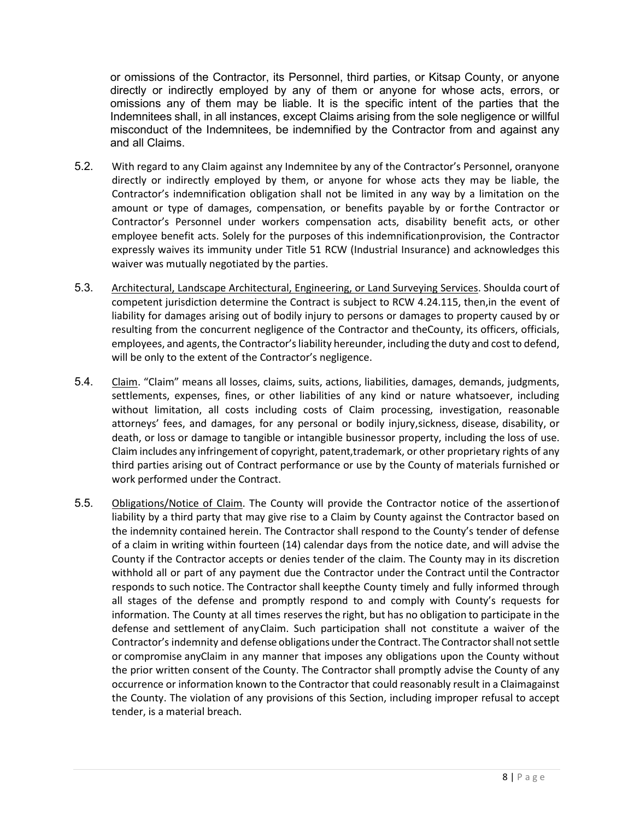or omissions of the Contractor, its Personnel, third parties, or Kitsap County, or anyone directly or indirectly employed by any of them or anyone for whose acts, errors, or omissions any of them may be liable. It is the specific intent of the parties that the Indemnitees shall, in all instances, except Claims arising from the sole negligence or willful misconduct of the Indemnitees, be indemnified by the Contractor from and against any and all Claims.

- 5.2. With regard to any Claim against any Indemnitee by any of the Contractor's Personnel, oranyone directly or indirectly employed by them, or anyone for whose acts they may be liable, the Contractor's indemnification obligation shall not be limited in any way by a limitation on the amount or type of damages, compensation, or benefits payable by or forthe Contractor or Contractor's Personnel under workers compensation acts, disability benefit acts, or other employee benefit acts. Solely for the purposes of this indemnificationprovision, the Contractor expressly waives its immunity under Title 51 RCW (Industrial Insurance) and acknowledges this waiver was mutually negotiated by the parties.
- 5.3. Architectural, Landscape Architectural, Engineering, or Land Surveying Services. Shoulda court of competent jurisdiction determine the Contract is subject to RCW 4.24.115, then,in the event of liability for damages arising out of bodily injury to persons or damages to property caused by or resulting from the concurrent negligence of the Contractor and theCounty, its officers, officials, employees, and agents, the Contractor's liability hereunder, including the duty and cost to defend, will be only to the extent of the Contractor's negligence.
- 5.4. Claim. "Claim" means all losses, claims, suits, actions, liabilities, damages, demands, judgments, settlements, expenses, fines, or other liabilities of any kind or nature whatsoever, including without limitation, all costs including costs of Claim processing, investigation, reasonable attorneys' fees, and damages, for any personal or bodily injury, sickness, disease, disability, or death, or loss or damage to tangible or intangible businessor property, including the loss of use. Claim includes any infringement of copyright, patent,trademark, or other proprietary rights of any third parties arising out of Contract performance or use by the County of materials furnished or work performed under the Contract.
- 5.5. Obligations/Notice of Claim. The County will provide the Contractor notice of the assertionof liability by a third party that may give rise to a Claim by County against the Contractor based on the indemnity contained herein. The Contractor shall respond to the County's tender of defense of a claim in writing within fourteen (14) calendar days from the notice date, and will advise the County if the Contractor accepts or denies tender of the claim. The County may in its discretion withhold all or part of any payment due the Contractor under the Contract until the Contractor responds to such notice. The Contractor shall keepthe County timely and fully informed through all stages of the defense and promptly respond to and comply with County's requests for information. The County at all times reserves the right, but has no obligation to participate in the defense and settlement of anyClaim. Such participation shall not constitute a waiver of the Contractor's indemnity and defense obligations under the Contract. The Contractor shall not settle or compromise anyClaim in any manner that imposes any obligations upon the County without the prior written consent of the County. The Contractor shall promptly advise the County of any occurrence or information known to the Contractor that could reasonably result in a Claimagainst the County. The violation of any provisions of this Section, including improper refusal to accept tender, is a material breach.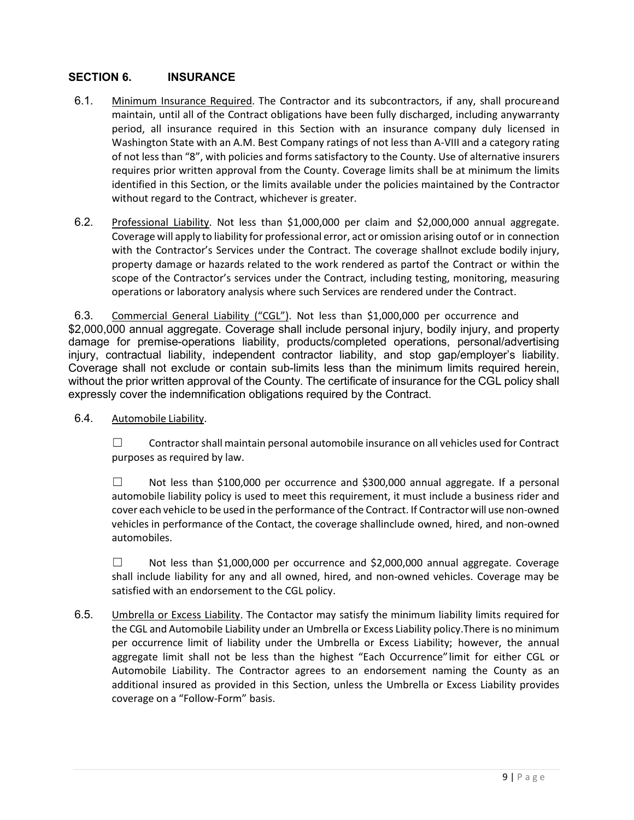# **SECTION 6. INSURANCE**

- 6.1. Minimum Insurance Required. The Contractor and its subcontractors, if any, shall procureand maintain, until all of the Contract obligations have been fully discharged, including anywarranty period, all insurance required in this Section with an insurance company duly licensed in Washington State with an A.M. Best Company ratings of not less than A-VIII and a category rating of not less than "8", with policies and forms satisfactory to the County. Use of alternative insurers requires prior written approval from the County. Coverage limits shall be at minimum the limits identified in this Section, or the limits available under the policies maintained by the Contractor without regard to the Contract, whichever is greater.
- 6.2. Professional Liability. Not less than \$1,000,000 per claim and \$2,000,000 annual aggregate. Coverage will apply to liability for professional error, act or omission arising outof or in connection with the Contractor's Services under the Contract. The coverage shallnot exclude bodily injury, property damage or hazards related to the work rendered as partof the Contract or within the scope of the Contractor's services under the Contract, including testing, monitoring, measuring operations or laboratory analysis where such Services are rendered under the Contract.

6.3. Commercial General Liability ("CGL"). Not less than \$1,000,000 per occurrence and \$2,000,000 annual aggregate. Coverage shall include personal injury, bodily injury, and property damage for premise-operations liability, products/completed operations, personal/advertising injury, contractual liability, independent contractor liability, and stop gap/employer's liability. Coverage shall not exclude or contain sub-limits less than the minimum limits required herein, without the prior written approval of the County. The certificate of insurance for the CGL policy shall expressly cover the indemnification obligations required by the Contract.

6.4. Automobile Liability.

 $\Box$  Contractor shall maintain personal automobile insurance on all vehicles used for Contract purposes as required by law.

 $\Box$  Not less than \$100,000 per occurrence and \$300,000 annual aggregate. If a personal automobile liability policy is used to meet this requirement, it must include a business rider and cover each vehicle to be used in the performance of the Contract. If Contractor will use non-owned vehicles in performance of the Contact, the coverage shallinclude owned, hired, and non-owned automobiles.

 $\Box$  Not less than \$1,000,000 per occurrence and \$2,000,000 annual aggregate. Coverage shall include liability for any and all owned, hired, and non-owned vehicles. Coverage may be satisfied with an endorsement to the CGL policy.

6.5. Umbrella or Excess Liability. The Contactor may satisfy the minimum liability limits required for the CGL and Automobile Liability under an Umbrella or Excess Liability policy.There is no minimum per occurrence limit of liability under the Umbrella or Excess Liability; however, the annual aggregate limit shall not be less than the highest "Each Occurrence" limit for either CGL or Automobile Liability. The Contractor agrees to an endorsement naming the County as an additional insured as provided in this Section, unless the Umbrella or Excess Liability provides coverage on a "Follow-Form" basis.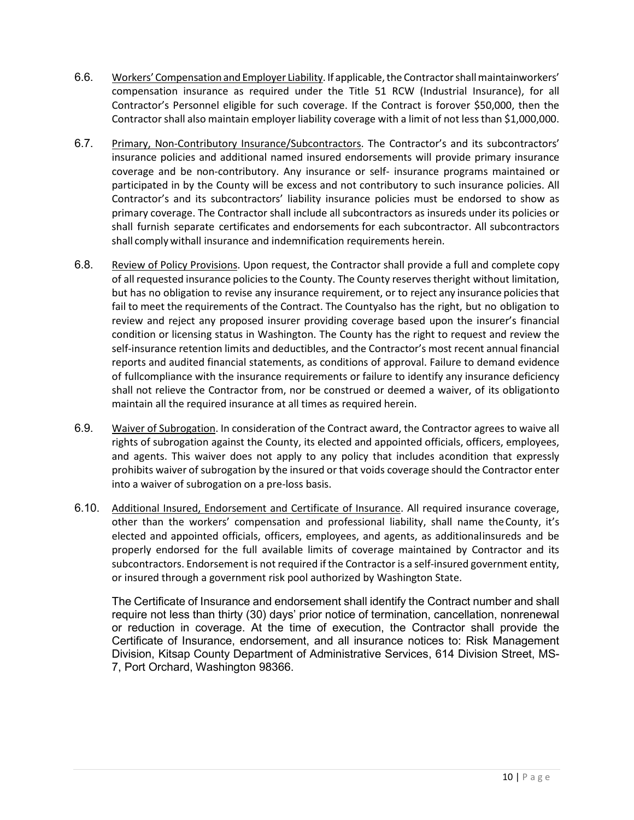- 6.6. Workers' Compensation and Employer Liability. If applicable, the Contractor shall maintainworkers' compensation insurance as required under the Title 51 RCW (Industrial Insurance), for all Contractor's Personnel eligible for such coverage. If the Contract is forover \$50,000, then the Contractor shall also maintain employer liability coverage with a limit of not lessthan \$1,000,000.
- 6.7. Primary, Non-Contributory Insurance/Subcontractors. The Contractor's and its subcontractors' insurance policies and additional named insured endorsements will provide primary insurance coverage and be non-contributory. Any insurance or self- insurance programs maintained or participated in by the County will be excess and not contributory to such insurance policies. All Contractor's and its subcontractors' liability insurance policies must be endorsed to show as primary coverage. The Contractor shall include all subcontractors as insureds under its policies or shall furnish separate certificates and endorsements for each subcontractor. All subcontractors shall comply withall insurance and indemnification requirements herein.
- 6.8. Review of Policy Provisions. Upon request, the Contractor shall provide a full and complete copy of all requested insurance policies to the County. The County reserves theright without limitation, but has no obligation to revise any insurance requirement, or to reject any insurance policiesthat fail to meet the requirements of the Contract. The Countyalso has the right, but no obligation to review and reject any proposed insurer providing coverage based upon the insurer's financial condition or licensing status in Washington. The County has the right to request and review the self-insurance retention limits and deductibles, and the Contractor's most recent annual financial reports and audited financial statements, as conditions of approval. Failure to demand evidence of fullcompliance with the insurance requirements or failure to identify any insurance deficiency shall not relieve the Contractor from, nor be construed or deemed a waiver, of its obligationto maintain all the required insurance at all times as required herein.
- 6.9. Waiver of Subrogation. In consideration of the Contract award, the Contractor agrees to waive all rights of subrogation against the County, its elected and appointed officials, officers, employees, and agents. This waiver does not apply to any policy that includes acondition that expressly prohibits waiver of subrogation by the insured or that voids coverage should the Contractor enter into a waiver of subrogation on a pre-loss basis.
- 6.10. Additional Insured, Endorsement and Certificate of Insurance. All required insurance coverage, other than the workers' compensation and professional liability, shall name theCounty, it's elected and appointed officials, officers, employees, and agents, as additionalinsureds and be properly endorsed for the full available limits of coverage maintained by Contractor and its subcontractors. Endorsement is not required if the Contractor is a self-insured government entity, or insured through a government risk pool authorized by Washington State.

The Certificate of Insurance and endorsement shall identify the Contract number and shall require not less than thirty (30) days' prior notice of termination, cancellation, nonrenewal or reduction in coverage. At the time of execution, the Contractor shall provide the Certificate of Insurance, endorsement, and all insurance notices to: Risk Management Division, Kitsap County Department of Administrative Services, 614 Division Street, MS-7, Port Orchard, Washington 98366.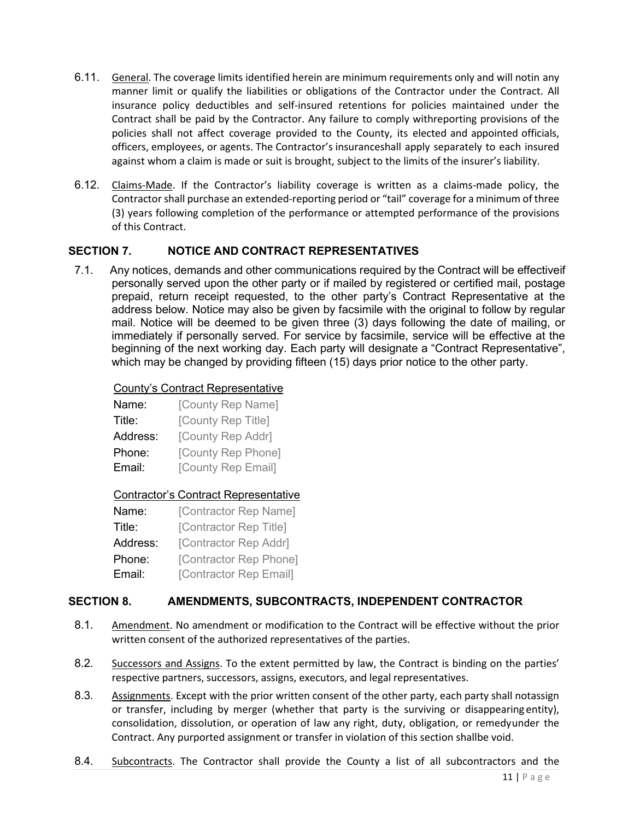- 6.11. General. The coverage limits identified herein are minimum requirements only and will notin any manner limit or qualify the liabilities or obligations of the Contractor under the Contract. All insurance policy deductibles and self-insured retentions for policies maintained under the Contract shall be paid by the Contractor. Any failure to comply withreporting provisions of the policies shall not affect coverage provided to the County, its elected and appointed officials, officers, employees, or agents. The Contractor's insuranceshall apply separately to each insured against whom a claim is made or suit is brought, subject to the limits of the insurer's liability.
- 6.12. Claims-Made. If the Contractor's liability coverage is written as a claims-made policy, the Contractor shall purchase an extended-reporting period or "tail" coverage for a minimum of three (3) years following completion of the performance or attempted performance of the provisions of this Contract.

# **SECTION 7. NOTICE AND CONTRACT REPRESENTATIVES**

7.1. Any notices, demands and other communications required by the Contract will be effectiveif personally served upon the other party or if mailed by registered or certified mail, postage prepaid, return receipt requested, to the other party's Contract Representative at the address below. Notice may also be given by facsimile with the original to follow by regular mail. Notice will be deemed to be given three (3) days following the date of mailing, or immediately if personally served. For service by facsimile, service will be effective at the beginning of the next working day. Each party will designate a "Contract Representative", which may be changed by providing fifteen (15) days prior notice to the other party.

#### County's Contract Representative

| Name:    | [County Rep Name]  |
|----------|--------------------|
| Title:   | [County Rep Title] |
| Address: | [County Rep Addr]  |
| Phone:   | [County Rep Phone] |
| Email:   | [County Rep Email] |

#### Contractor's Contract Representative

| Name:    | [Contractor Rep Name]  |
|----------|------------------------|
| Title:   | [Contractor Rep Title] |
| Address: | [Contractor Rep Addr]  |
| Phone:   | [Contractor Rep Phone] |
| Email:   | [Contractor Rep Email] |

#### **SECTION 8. AMENDMENTS, SUBCONTRACTS, INDEPENDENT CONTRACTOR**

- 8.1. Amendment. No amendment or modification to the Contract will be effective without the prior written consent of the authorized representatives of the parties.
- 8.2. Successors and Assigns. To the extent permitted by law, the Contract is binding on the parties' respective partners, successors, assigns, executors, and legal representatives.
- 8.3. Assignments. Except with the prior written consent of the other party, each party shall notassign or transfer, including by merger (whether that party is the surviving or disappearing entity), consolidation, dissolution, or operation of law any right, duty, obligation, or remedyunder the Contract. Any purported assignment or transfer in violation of this section shallbe void.
- 8.4. Subcontracts. The Contractor shall provide the County a list of all subcontractors and the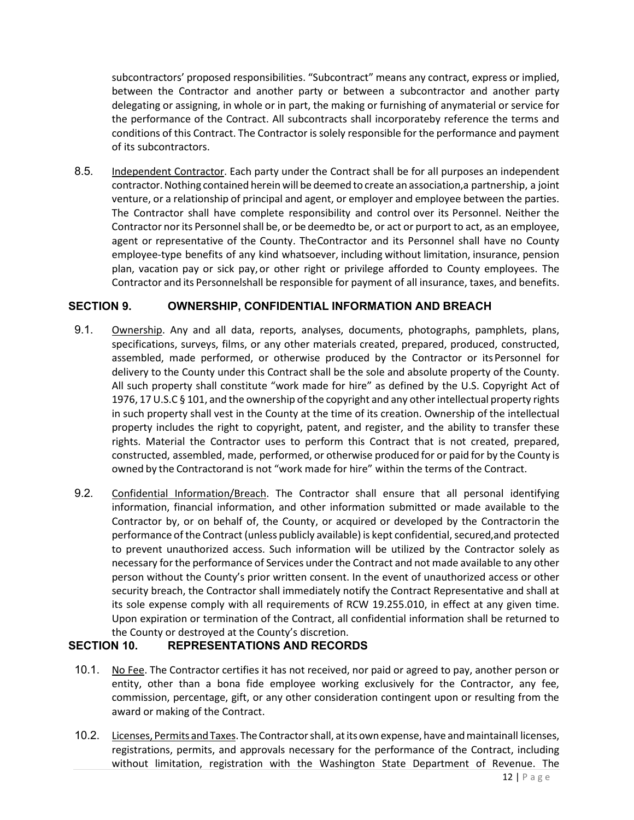subcontractors' proposed responsibilities. "Subcontract" means any contract, express or implied, between the Contractor and another party or between a subcontractor and another party delegating or assigning, in whole or in part, the making or furnishing of anymaterial or service for the performance of the Contract. All subcontracts shall incorporateby reference the terms and conditions of this Contract. The Contractor is solely responsible for the performance and payment of its subcontractors.

8.5. Independent Contractor. Each party under the Contract shall be for all purposes an independent contractor. Nothing contained herein will be deemed to create an association, a partnership, a joint venture, or a relationship of principal and agent, or employer and employee between the parties. The Contractor shall have complete responsibility and control over its Personnel. Neither the Contractor nor its Personnel shall be, or be deemedto be, or act or purport to act, as an employee, agent or representative of the County. TheContractor and its Personnel shall have no County employee-type benefits of any kind whatsoever, including without limitation, insurance, pension plan, vacation pay or sick pay,or other right or privilege afforded to County employees. The Contractor and its Personnelshall be responsible for payment of all insurance, taxes, and benefits.

# **SECTION 9. OWNERSHIP, CONFIDENTIAL INFORMATION AND BREACH**

- 9.1. Ownership. Any and all data, reports, analyses, documents, photographs, pamphlets, plans, specifications, surveys, films, or any other materials created, prepared, produced, constructed, assembled, made performed, or otherwise produced by the Contractor or itsPersonnel for delivery to the County under this Contract shall be the sole and absolute property of the County. All such property shall constitute "work made for hire" as defined by the U.S. Copyright Act of 1976, 17 U.S.C § 101, and the ownership of the copyright and any other intellectual property rights in such property shall vest in the County at the time of its creation. Ownership of the intellectual property includes the right to copyright, patent, and register, and the ability to transfer these rights. Material the Contractor uses to perform this Contract that is not created, prepared, constructed, assembled, made, performed, or otherwise produced for or paid for by the County is owned by the Contractorand is not "work made for hire" within the terms of the Contract.
- 9.2. Confidential Information/Breach. The Contractor shall ensure that all personal identifying information, financial information, and other information submitted or made available to the Contractor by, or on behalf of, the County, or acquired or developed by the Contractorin the performance of the Contract (unless publicly available) is kept confidential, secured,and protected to prevent unauthorized access. Such information will be utilized by the Contractor solely as necessary for the performance of Services under the Contract and not made available to any other person without the County's prior written consent. In the event of unauthorized access or other security breach, the Contractor shall immediately notify the Contract Representative and shall at its sole expense comply with all requirements of RCW 19.255.010, in effect at any given time. Upon expiration or termination of the Contract, all confidential information shall be returned to the County or destroyed at the County's discretion.

#### **SECTION 10. REPRESENTATIONS AND RECORDS**

- 10.1. No Fee. The Contractor certifies it has not received, nor paid or agreed to pay, another person or entity, other than a bona fide employee working exclusively for the Contractor, any fee, commission, percentage, gift, or any other consideration contingent upon or resulting from the award or making of the Contract.
- 10.2. Licenses, Permits and Taxes. The Contractor shall, at its own expense, have and maintainall licenses, registrations, permits, and approvals necessary for the performance of the Contract, including without limitation, registration with the Washington State Department of Revenue. The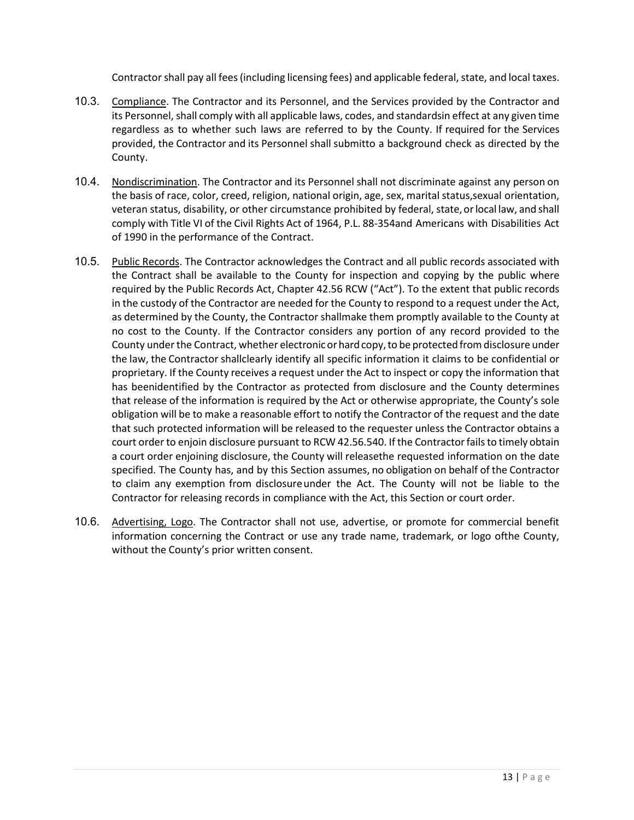Contractor shall pay all fees (including licensing fees) and applicable federal, state, and local taxes.

- 10.3. Compliance. The Contractor and its Personnel, and the Services provided by the Contractor and its Personnel, shall comply with all applicable laws, codes, and standardsin effect at any given time regardless as to whether such laws are referred to by the County. If required for the Services provided, the Contractor and its Personnel shall submitto a background check as directed by the County.
- 10.4. Nondiscrimination. The Contractor and its Personnel shall not discriminate against any person on the basis of race, color, creed, religion, national origin, age, sex, marital status,sexual orientation, veteran status, disability, or other circumstance prohibited by federal, state, or local law, and shall comply with Title VI of the Civil Rights Act of 1964, P.L. 88-354and Americans with Disabilities Act of 1990 in the performance of the Contract.
- 10.5. Public Records. The Contractor acknowledges the Contract and all public records associated with the Contract shall be available to the County for inspection and copying by the public where required by the Public Records Act, Chapter 42.56 RCW ("Act"). To the extent that public records in the custody of the Contractor are needed for the County to respond to a request under the Act, as determined by the County, the Contractor shallmake them promptly available to the County at no cost to the County. If the Contractor considers any portion of any record provided to the County under the Contract, whether electronic or hard copy, to be protected from disclosure under the law, the Contractor shallclearly identify all specific information it claims to be confidential or proprietary. If the County receives a request under the Act to inspect or copy the information that has beenidentified by the Contractor as protected from disclosure and the County determines that release of the information is required by the Act or otherwise appropriate, the County's sole obligation will be to make a reasonable effort to notify the Contractor of the request and the date that such protected information will be released to the requester unless the Contractor obtains a court order to enjoin disclosure pursuant to RCW 42.56.540. If the Contractor fails to timely obtain a court order enjoining disclosure, the County will releasethe requested information on the date specified. The County has, and by this Section assumes, no obligation on behalf of the Contractor to claim any exemption from disclosureunder the Act. The County will not be liable to the Contractor for releasing records in compliance with the Act, this Section or court order.
- 10.6. Advertising, Logo. The Contractor shall not use, advertise, or promote for commercial benefit information concerning the Contract or use any trade name, trademark, or logo ofthe County, without the County's prior written consent.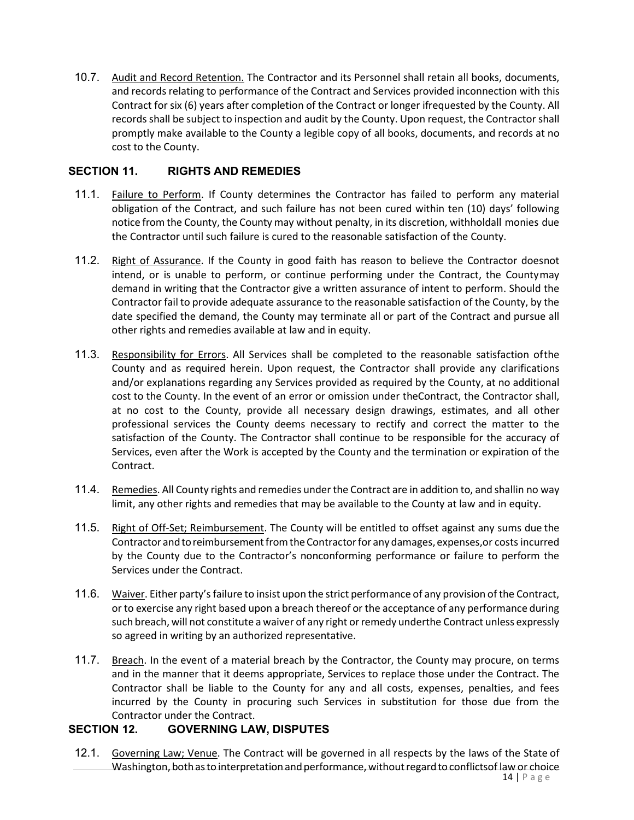10.7. Audit and Record Retention. The Contractor and its Personnel shall retain all books, documents, and records relating to performance of the Contract and Services provided inconnection with this Contract for six (6) years after completion of the Contract or longer ifrequested by the County. All records shall be subject to inspection and audit by the County. Upon request, the Contractor shall promptly make available to the County a legible copy of all books, documents, and records at no cost to the County.

# **SECTION 11. RIGHTS AND REMEDIES**

- 11.1. Failure to Perform. If County determines the Contractor has failed to perform any material obligation of the Contract, and such failure has not been cured within ten (10) days' following notice from the County, the County may without penalty, in its discretion, withholdall monies due the Contractor until such failure is cured to the reasonable satisfaction of the County.
- 11.2. Right of Assurance. If the County in good faith has reason to believe the Contractor doesnot intend, or is unable to perform, or continue performing under the Contract, the Countymay demand in writing that the Contractor give a written assurance of intent to perform. Should the Contractor fail to provide adequate assurance to the reasonable satisfaction of the County, by the date specified the demand, the County may terminate all or part of the Contract and pursue all other rights and remedies available at law and in equity.
- 11.3. Responsibility for Errors. All Services shall be completed to the reasonable satisfaction ofthe County and as required herein. Upon request, the Contractor shall provide any clarifications and/or explanations regarding any Services provided as required by the County, at no additional cost to the County. In the event of an error or omission under theContract, the Contractor shall, at no cost to the County, provide all necessary design drawings, estimates, and all other professional services the County deems necessary to rectify and correct the matter to the satisfaction of the County. The Contractor shall continue to be responsible for the accuracy of Services, even after the Work is accepted by the County and the termination or expiration of the Contract.
- 11.4. Remedies. All County rights and remedies under the Contract are in addition to, and shallin no way limit, any other rights and remedies that may be available to the County at law and in equity.
- 11.5. Right of Off-Set; Reimbursement. The County will be entitled to offset against any sums due the Contractor and to reimbursement from the Contractor for any damages, expenses, or costs incurred by the County due to the Contractor's nonconforming performance or failure to perform the Services under the Contract.
- 11.6. Waiver. Either party's failure to insist upon the strict performance of any provision of the Contract, or to exercise any right based upon a breach thereof or the acceptance of any performance during such breach, will not constitute a waiver of any right or remedy underthe Contract unless expressly so agreed in writing by an authorized representative.
- 11.7. Breach. In the event of a material breach by the Contractor, the County may procure, on terms and in the manner that it deems appropriate, Services to replace those under the Contract. The Contractor shall be liable to the County for any and all costs, expenses, penalties, and fees incurred by the County in procuring such Services in substitution for those due from the Contractor under the Contract.

#### **SECTION 12. GOVERNING LAW, DISPUTES**

12.1. Governing Law; Venue. The Contract will be governed in all respects by the laws of the State of Washington, both as to interpretation and performance, without regard to conflictsof law or choice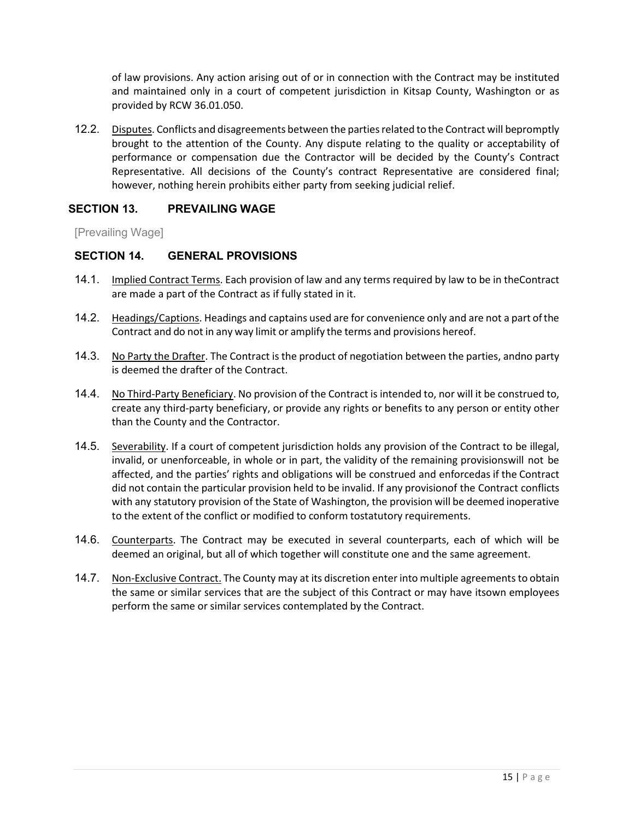of law provisions. Any action arising out of or in connection with the Contract may be instituted and maintained only in a court of competent jurisdiction in Kitsap County, Washington or as provided by RCW 36.01.050.

12.2. Disputes. Conflicts and disagreements between the parties related to the Contract will bepromptly brought to the attention of the County. Any dispute relating to the quality or acceptability of performance or compensation due the Contractor will be decided by the County's Contract Representative. All decisions of the County's contract Representative are considered final; however, nothing herein prohibits either party from seeking judicial relief.

#### **SECTION 13. PREVAILING WAGE**

[Prevailing Wage]

#### **SECTION 14. GENERAL PROVISIONS**

- 14.1. Implied Contract Terms. Each provision of law and any terms required by law to be in theContract are made a part of the Contract as if fully stated in it.
- 14.2. Headings/Captions. Headings and captains used are for convenience only and are not a part ofthe Contract and do not in any way limit or amplify the terms and provisions hereof.
- 14.3. No Party the Drafter. The Contract is the product of negotiation between the parties, andno party is deemed the drafter of the Contract.
- 14.4. No Third-Party Beneficiary. No provision of the Contract is intended to, nor will it be construed to, create any third-party beneficiary, or provide any rights or benefits to any person or entity other than the County and the Contractor.
- 14.5. Severability. If a court of competent jurisdiction holds any provision of the Contract to be illegal, invalid, or unenforceable, in whole or in part, the validity of the remaining provisionswill not be affected, and the parties' rights and obligations will be construed and enforcedas if the Contract did not contain the particular provision held to be invalid. If any provisionof the Contract conflicts with any statutory provision of the State of Washington, the provision will be deemed inoperative to the extent of the conflict or modified to conform tostatutory requirements.
- 14.6. Counterparts. The Contract may be executed in several counterparts, each of which will be deemed an original, but all of which together will constitute one and the same agreement.
- 14.7. Non-Exclusive Contract. The County may at its discretion enter into multiple agreements to obtain the same or similar services that are the subject of this Contract or may have itsown employees perform the same or similar services contemplated by the Contract.